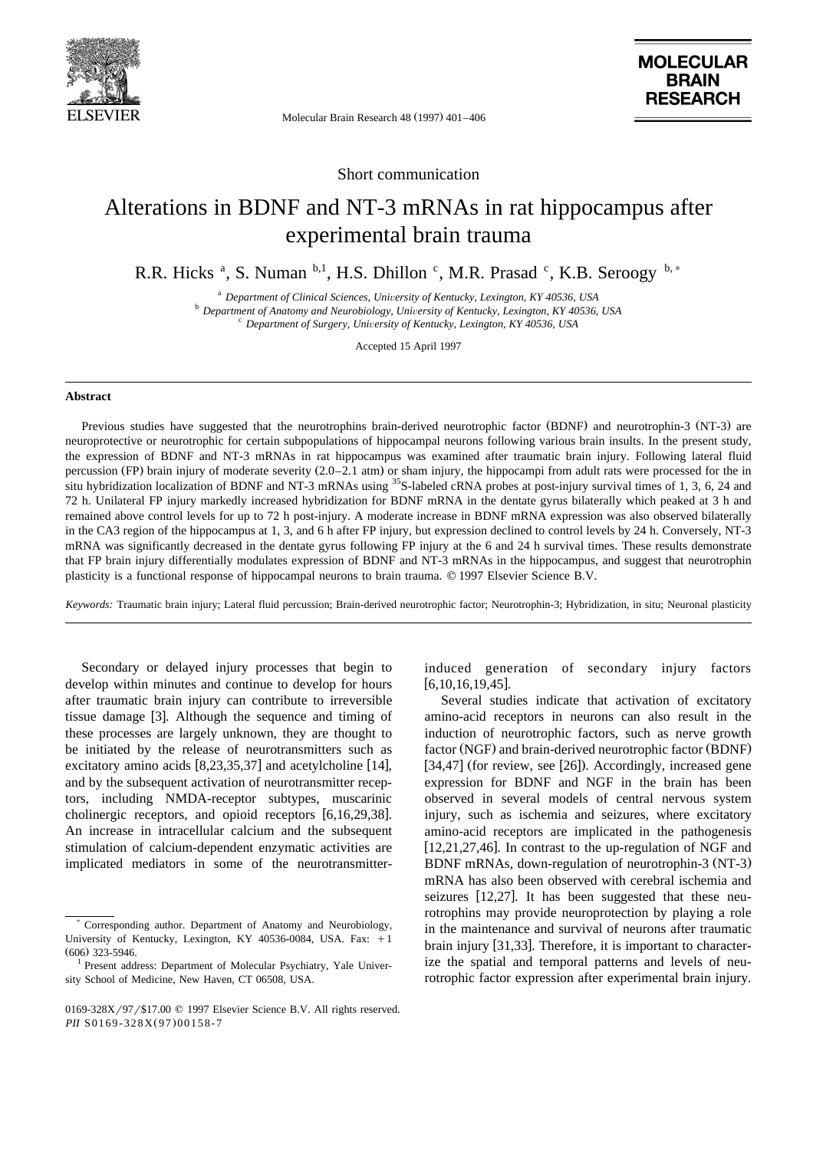

Molecular Brain Research 48 (1997) 401-406

Short communication

## Alterations in BDNF and NT-3 mRNAs in rat hippocampus after experimental brain trauma

R.R. Hicks<sup>a</sup>, S. Numan <sup>b,1</sup>, H.S. Dhillon<sup>c</sup>, M.R. Prasad<sup>c</sup>, K.B. Seroogy<sup>b,\*</sup>

<sup>a</sup> Department of Clinical Sciences, University of Kentucky, Lexington, KY 40536, USA<br><sup>b</sup> Department of Anatomy and Neurobiology, University of Kentucky, Lexington, KY 40536, USA<br><sup>c</sup> Department of Surgery, University of K

Accepted 15 April 1997

## **Abstract**

Previous studies have suggested that the neurotrophins brain-derived neurotrophic factor (BDNF) and neurotrophin-3 (NT-3) are neuroprotective or neurotrophic for certain subpopulations of hippocampal neurons following various brain insults. In the present study, the expression of BDNF and NT-3 mRNAs in rat hippocampus was examined after traumatic brain injury. Following lateral fluid percussion (FP) brain injury of moderate severity (2.0–2.1 atm) or sham injury, the hippocampi from adult rats were processed for the in situ hybridization localization of BDNF and NT-3 mRNAs using <sup>35</sup>S-labeled cRNA probes at post-injury survival times of 1, 3, 6, 24 and 72 h. Unilateral FP injury markedly increased hybridization for BDNF mRNA in the dentate gyrus bilaterally which peaked at 3 h and remained above control levels for up to 72 h post-injury. A moderate increase in BDNF mRNA expression was also observed bilaterally in the CA3 region of the hippocampus at 1, 3, and 6 h after FP injury, but expression declined to control levels by 24 h. Conversely, NT-3 mRNA was significantly decreased in the dentate gyrus following FP injury at the 6 and 24 h survival times. These results demonstrate that FP brain injury differentially modulates expression of BDNF and NT-3 mRNAs in the hippocampus, and suggest that neurotrophin plasticity is a functional response of hippocampal neurons to brain trauma.  $© 1997$  Elsevier Science B.V.

*Keywords:* Traumatic brain injury; Lateral fluid percussion; Brain-derived neurotrophic factor; Neurotrophin-3; Hybridization, in situ; Neuronal plasticity

Secondary or delayed injury processes that begin to develop within minutes and continue to develop for hours after traumatic brain injury can contribute to irreversible tissue damage  $[3]$ . Although the sequence and timing of these processes are largely unknown, they are thought to be initiated by the release of neurotransmitters such as excitatory amino acids  $[8,23,35,37]$  and acetylcholine [14], and by the subsequent activation of neurotransmitter receptors, including NMDA-receptor subtypes, muscarinic cholinergic receptors, and opioid receptors  $[6,16,29,38]$ . An increase in intracellular calcium and the subsequent stimulation of calcium-dependent enzymatic activities are implicated mediators in some of the neurotransmitterinduced generation of secondary injury factors  $[6,10,16,19,45]$ .

Several studies indicate that activation of excitatory amino-acid receptors in neurons can also result in the induction of neurotrophic factors, such as nerve growth factor (NGF) and brain-derived neurotrophic factor (BDNF)  $[34,47]$  (for review, see [26]). Accordingly, increased gene expression for BDNF and NGF in the brain has been observed in several models of central nervous system injury, such as ischemia and seizures, where excitatory amino-acid receptors are implicated in the pathogenesis  $[12,21,27,46]$ . In contrast to the up-regulation of NGF and BDNF mRNAs, down-regulation of neurotrophin-3 (NT-3) mRNA has also been observed with cerebral ischemia and seizures  $[12,27]$ . It has been suggested that these neurotrophins may provide neuroprotection by playing a role in the maintenance and survival of neurons after traumatic brain injury  $[31,33]$ . Therefore, it is important to characterize the spatial and temporal patterns and levels of neurotrophic factor expression after experimental brain injury.

<sup>)</sup> Corresponding author. Department of Anatomy and Neurobiology, University of Kentucky, Lexington, KY 40536-0084, USA. Fax:  $+1$ (606) 323-5946.<br><sup>1</sup> Present address: Department of Molecular Psychiatry, Yale Univer-

sity School of Medicine, New Haven, CT 06508, USA.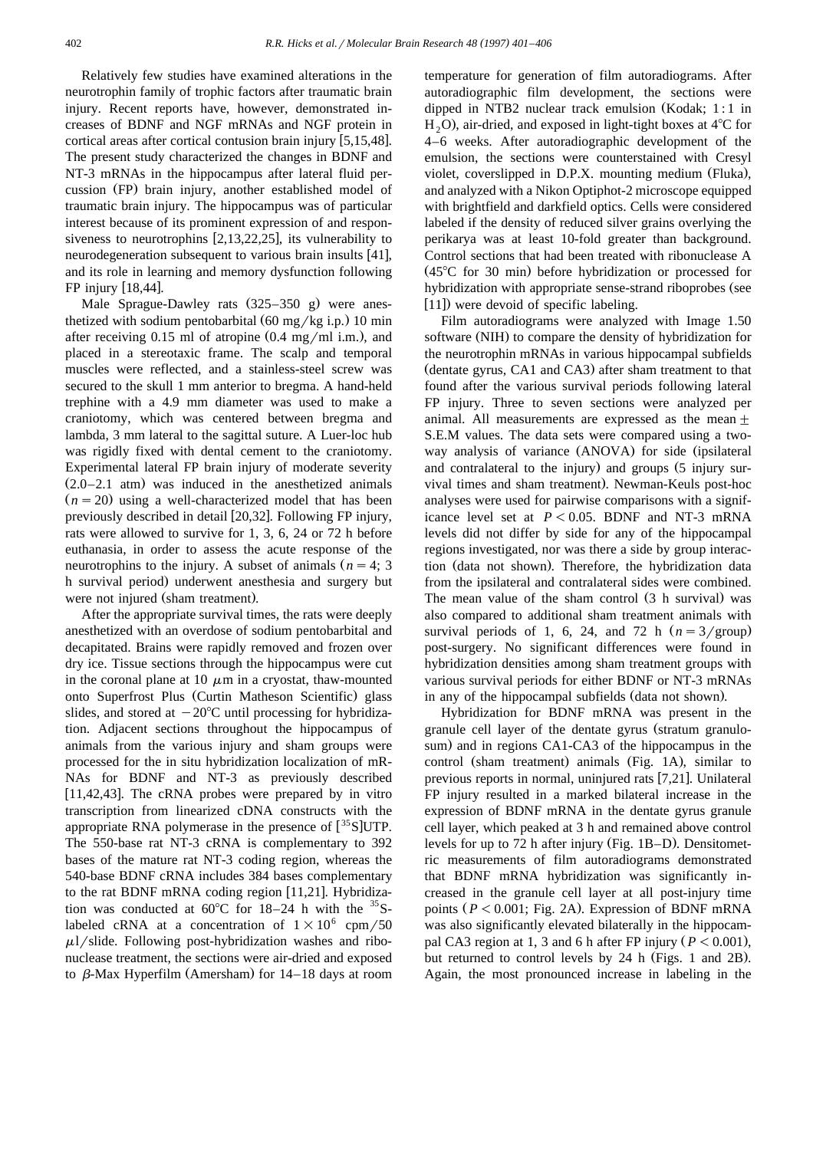Relatively few studies have examined alterations in the neurotrophin family of trophic factors after traumatic brain injury. Recent reports have, however, demonstrated increases of BDNF and NGF mRNAs and NGF protein in cortical areas after cortical contusion brain injury  $[5,15,48]$ . The present study characterized the changes in BDNF and NT-3 mRNAs in the hippocampus after lateral fluid percussion (FP) brain injury, another established model of traumatic brain injury. The hippocampus was of particular interest because of its prominent expression of and responsiveness to neurotrophins  $[2,13,22,25]$ , its vulnerability to neurodegeneration subsequent to various brain insults  $[41]$ , and its role in learning and memory dysfunction following FP injury  $[18,44]$ .

Male Sprague-Dawley rats  $(325-350 \text{ g})$  were anesthetized with sodium pentobarbital  $(60 \text{ mg/kg i.p.})$  10 min after receiving  $0.15$  ml of atropine  $(0.4 \text{ mg/ml i.m.})$ , and placed in a stereotaxic frame. The scalp and temporal muscles were reflected, and a stainless-steel screw was secured to the skull 1 mm anterior to bregma. A hand-held trephine with a 4.9 mm diameter was used to make a craniotomy, which was centered between bregma and lambda, 3 mm lateral to the sagittal suture. A Luer-loc hub was rigidly fixed with dental cement to the craniotomy. Experimental lateral FP brain injury of moderate severity  $(2.0-2.1$  atm) was induced in the anesthetized animals  $(n = 20)$  using a well-characterized model that has been previously described in detail [20,32]. Following FP injury, rats were allowed to survive for 1, 3, 6, 24 or 72 h before euthanasia, in order to assess the acute response of the neurotrophins to the injury. A subset of animals  $(n = 4; 3)$ h survival period) underwent anesthesia and surgery but were not injured (sham treatment).

After the appropriate survival times, the rats were deeply anesthetized with an overdose of sodium pentobarbital and decapitated. Brains were rapidly removed and frozen over dry ice. Tissue sections through the hippocampus were cut in the coronal plane at 10  $\mu$ m in a cryostat, thaw-mounted onto Superfrost Plus (Curtin Matheson Scientific) glass slides, and stored at  $-20^{\circ}$ C until processing for hybridization. Adjacent sections throughout the hippocampus of animals from the various injury and sham groups were processed for the in situ hybridization localization of mR-NAs for BDNF and NT-3 as previously described  $[11,42,43]$ . The cRNA probes were prepared by in vitro transcription from linearized cDNA constructs with the appropriate RNA polymerase in the presence of  $[^{35}S]$ UTP. The 550-base rat NT-3 cRNA is complementary to 392 bases of the mature rat NT-3 coding region, whereas the 540-base BDNF cRNA includes 384 bases complementary to the rat BDNF mRNA coding region  $[11,21]$ . Hybridization was conducted at  $60^{\circ}$ C for 18–24 h with the <sup>35</sup>Slabeled cRNA at a concentration of  $1\times10^6$  cpm/50  $\mu$ l/slide. Following post-hybridization washes and ribonuclease treatment, the sections were air-dried and exposed to  $\beta$ -Max Hyperfilm (Amersham) for 14–18 days at room

temperature for generation of film autoradiograms. After autoradiographic film development, the sections were dipped in NTB2 nuclear track emulsion (Kodak;  $1:1$  in  $H<sub>2</sub>O$ , air-dried, and exposed in light-tight boxes at 4<sup>o</sup>C for 4–6 weeks. After autoradiographic development of the emulsion, the sections were counterstained with Cresyl violet, coverslipped in D.P.X. mounting medium (Fluka), and analyzed with a Nikon Optiphot-2 microscope equipped with brightfield and darkfield optics. Cells were considered labeled if the density of reduced silver grains overlying the perikarya was at least 10-fold greater than background. Control sections that had been treated with ribonuclease A  $(45^{\circ}$ C for 30 min) before hybridization or processed for hybridization with appropriate sense-strand riboprobes (see  $[11]$ ) were devoid of specific labeling.

Film autoradiograms were analyzed with Image 1.50 software (NIH) to compare the density of hybridization for the neurotrophin mRNAs in various hippocampal subfields (dentate gyrus, CA1 and CA3) after sham treatment to that found after the various survival periods following lateral FP injury. Three to seven sections were analyzed per animal. All measurements are expressed as the mean  $\pm$ S.E.M values. The data sets were compared using a twoway analysis of variance (ANOVA) for side (ipsilateral and contralateral to the injury) and groups (5 injury survival times and sham treatment). Newman-Keuls post-hoc analyses were used for pairwise comparisons with a significance level set at  $P < 0.05$ . BDNF and NT-3 mRNA levels did not differ by side for any of the hippocampal regions investigated, nor was there a side by group interaction (data not shown). Therefore, the hybridization data from the ipsilateral and contralateral sides were combined. The mean value of the sham control (3 h survival) was also compared to additional sham treatment animals with survival periods of 1, 6, 24, and 72 h  $(n=3/\text{group})$ post-surgery. No significant differences were found in hybridization densities among sham treatment groups with various survival periods for either BDNF or NT-3 mRNAs in any of the hippocampal subfields (data not shown).

Hybridization for BDNF mRNA was present in the granule cell layer of the dentate gyrus (stratum granulosum) and in regions CA1-CA3 of the hippocampus in the control (sham treatment) animals (Fig. 1A), similar to previous reports in normal, uninjured rats  $[7,21]$ . Unilateral FP injury resulted in a marked bilateral increase in the expression of BDNF mRNA in the dentate gyrus granule cell layer, which peaked at 3 h and remained above control levels for up to  $72$  h after injury (Fig. 1B–D). Densitometric measurements of film autoradiograms demonstrated that BDNF mRNA hybridization was significantly increased in the granule cell layer at all post-injury time points  $(P < 0.001$ ; Fig. 2A). Expression of BDNF mRNA was also significantly elevated bilaterally in the hippocampal CA3 region at 1, 3 and 6 h after FP injury  $(P < 0.001)$ , but returned to control levels by 24 h (Figs. 1 and 2B). Again, the most pronounced increase in labeling in the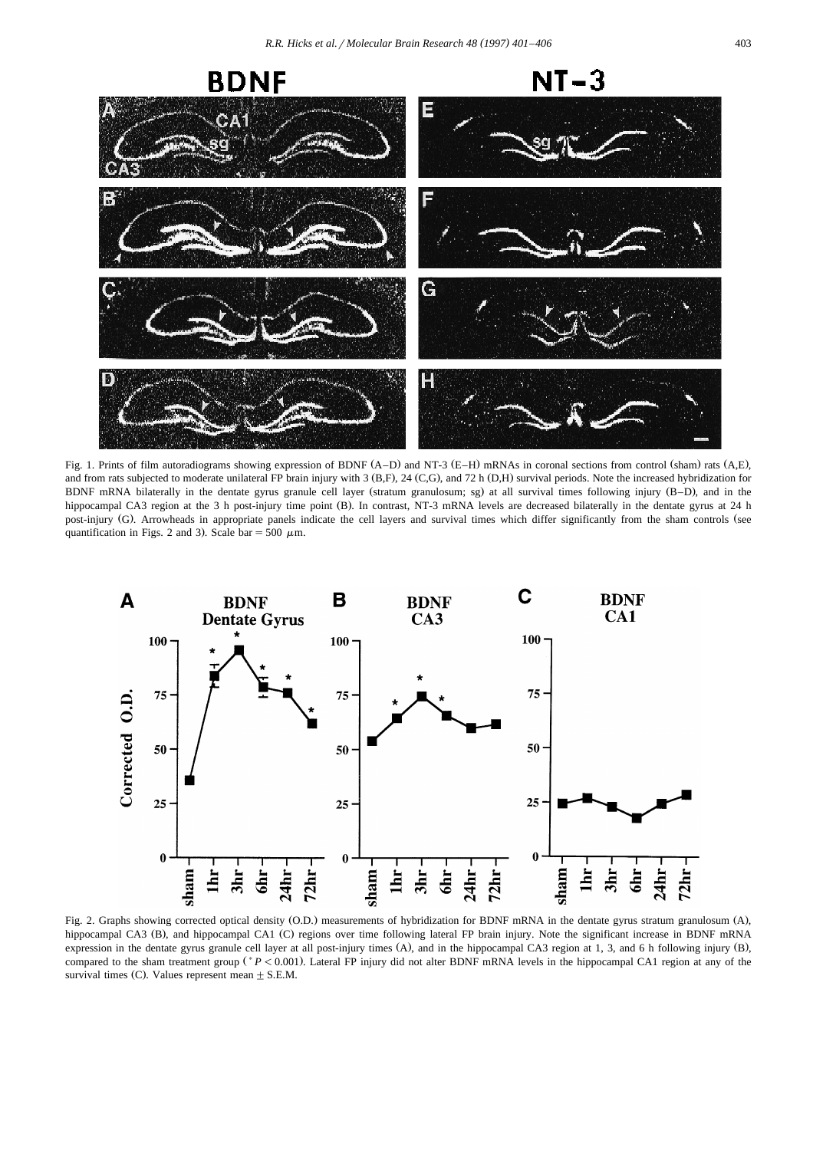

Fig. 1. Prints of film autoradiograms showing expression of BDNF (A–D) and NT-3 (E–H) mRNAs in coronal sections from control (sham) rats (A,E), and from rats subjected to moderate unilateral FP brain injury with 3 (B,F), 24 (C,G), and 72 h (D,H) survival periods. Note the increased hybridization for BDNF mRNA bilaterally in the dentate gyrus granule cell layer (stratum granulosum; sg) at all survival times following injury (B–D), and in the hippocampal CA3 region at the 3 h post-injury time point (B). In contrast, NT-3 mRNA levels are decreased bilaterally in the dentate gyrus at 24 h post-injury (G). Arrowheads in appropriate panels indicate the cell layers and survival times which differ significantly from the sham controls (see quantification in Figs. 2 and 3). Scale bar = 500  $\mu$ m.



Fig. 2. Graphs showing corrected optical density (O.D.) measurements of hybridization for BDNF mRNA in the dentate gyrus stratum granulosum (A), hippocampal CA3 (B), and hippocampal CA1 (C) regions over time following lateral FP brain injury. Note the significant increase in BDNF mRNA expression in the dentate gyrus granule cell layer at all post-injury times (A), and in the hippocampal CA3 region at 1, 3, and 6 h following injury (B), compared to the sham treatment group (\*P < 0.001). Lateral FP injury did not alter BDNF mRNA levels in the hippocampal CA1 region at any of the survival times (C). Values represent mean  $\pm$  S.E.M.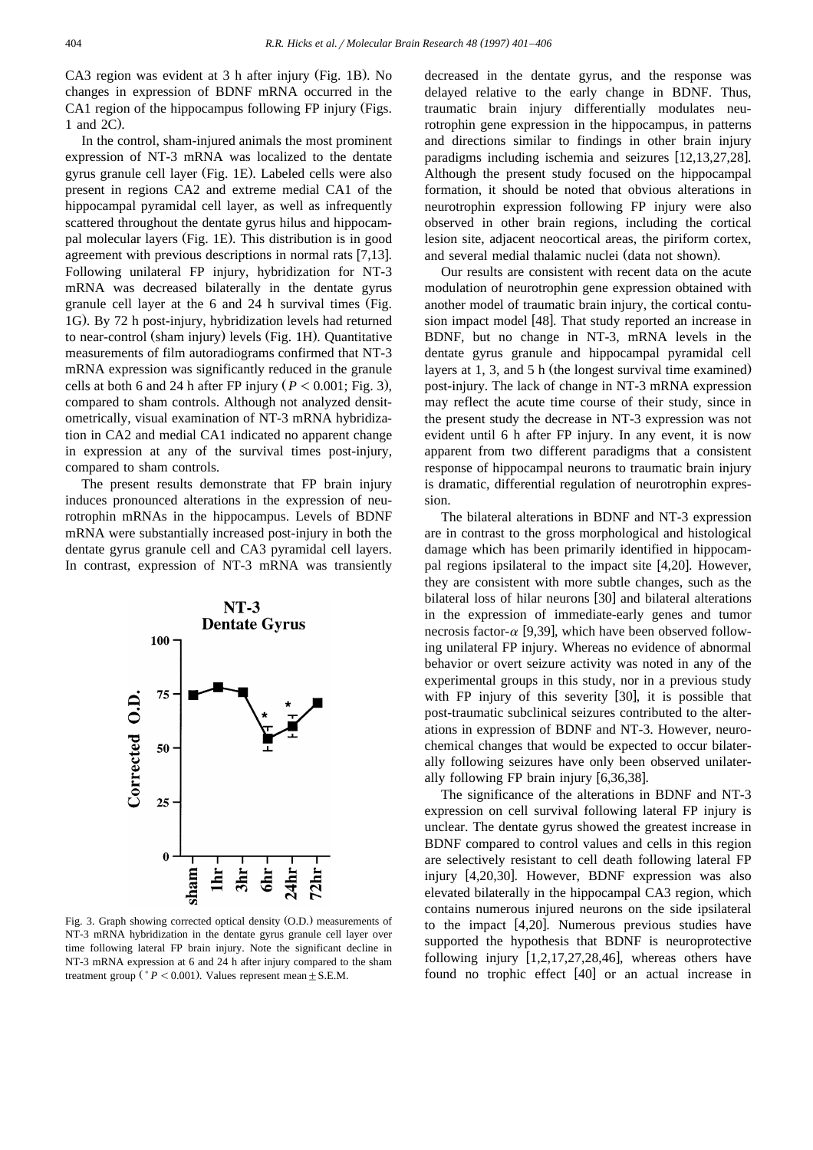CA3 region was evident at 3 h after injury (Fig. 1B). No changes in expression of BDNF mRNA occurred in the CA1 region of the hippocampus following FP injury (Figs. 1 and 2C).

In the control, sham-injured animals the most prominent expression of NT-3 mRNA was localized to the dentate gyrus granule cell layer (Fig. 1E). Labeled cells were also present in regions CA2 and extreme medial CA1 of the hippocampal pyramidal cell layer, as well as infrequently scattered throughout the dentate gyrus hilus and hippocampal molecular layers (Fig. 1E). This distribution is in good agreement with previous descriptions in normal rats  $[7,13]$ . Following unilateral FP injury, hybridization for NT-3 mRNA was decreased bilaterally in the dentate gyrus granule cell layer at the 6 and 24 h survival times (Fig. 1G). By 72 h post-injury, hybridization levels had returned to near-control (sham injury) levels (Fig. 1H). Quantitative measurements of film autoradiograms confirmed that NT-3 mRNA expression was significantly reduced in the granule cells at both 6 and 24 h after FP injury  $(P < 0.001$ ; Fig. 3), compared to sham controls. Although not analyzed densitometrically, visual examination of NT-3 mRNA hybridization in CA2 and medial CA1 indicated no apparent change in expression at any of the survival times post-injury, compared to sham controls.

The present results demonstrate that FP brain injury induces pronounced alterations in the expression of neurotrophin mRNAs in the hippocampus. Levels of BDNF mRNA were substantially increased post-injury in both the dentate gyrus granule cell and CA3 pyramidal cell layers. In contrast, expression of NT-3 mRNA was transiently



Fig. 3. Graph showing corrected optical density (O.D.) measurements of NT-3 mRNA hybridization in the dentate gyrus granule cell layer over time following lateral FP brain injury. Note the significant decline in NT-3 mRNA expression at 6 and 24 h after injury compared to the sham treatment group  $(^*P < 0.001)$ . Values represent mean  $\pm$  S.E.M.

decreased in the dentate gyrus, and the response was delayed relative to the early change in BDNF. Thus, traumatic brain injury differentially modulates neurotrophin gene expression in the hippocampus, in patterns and directions similar to findings in other brain injury paradigms including ischemia and seizures  $[12,13,27,28]$ . Although the present study focused on the hippocampal formation, it should be noted that obvious alterations in neurotrophin expression following FP injury were also observed in other brain regions, including the cortical lesion site, adjacent neocortical areas, the piriform cortex, and several medial thalamic nuclei (data not shown).

Our results are consistent with recent data on the acute modulation of neurotrophin gene expression obtained with another model of traumatic brain injury, the cortical contusion impact model [48]. That study reported an increase in BDNF, but no change in NT-3, mRNA levels in the dentate gyrus granule and hippocampal pyramidal cell layers at 1, 3, and 5 h (the longest survival time examined) post-injury. The lack of change in NT-3 mRNA expression may reflect the acute time course of their study, since in the present study the decrease in NT-3 expression was not evident until 6 h after FP injury. In any event, it is now apparent from two different paradigms that a consistent response of hippocampal neurons to traumatic brain injury is dramatic, differential regulation of neurotrophin expression.

The bilateral alterations in BDNF and NT-3 expression are in contrast to the gross morphological and histological damage which has been primarily identified in hippocampal regions ipsilateral to the impact site  $[4,20]$ . However, they are consistent with more subtle changes, such as the bilateral loss of hilar neurons [30] and bilateral alterations in the expression of immediate-early genes and tumor necrosis factor- $\alpha$  [9,39], which have been observed following unilateral FP injury. Whereas no evidence of abnormal behavior or overt seizure activity was noted in any of the experimental groups in this study, nor in a previous study with FP injury of this severity  $[30]$ , it is possible that post-traumatic subclinical seizures contributed to the alterations in expression of BDNF and NT-3. However, neurochemical changes that would be expected to occur bilaterally following seizures have only been observed unilaterally following FP brain injury  $[6,36,38]$ .

The significance of the alterations in BDNF and NT-3 expression on cell survival following lateral FP injury is unclear. The dentate gyrus showed the greatest increase in BDNF compared to control values and cells in this region are selectively resistant to cell death following lateral FP injury  $[4,20,30]$ . However, BDNF expression was also elevated bilaterally in the hippocampal CA3 region, which contains numerous injured neurons on the side ipsilateral to the impact  $[4,20]$ . Numerous previous studies have supported the hypothesis that BDNF is neuroprotective following injury  $[1,2,17,27,28,46]$ , whereas others have found no trophic effect  $[40]$  or an actual increase in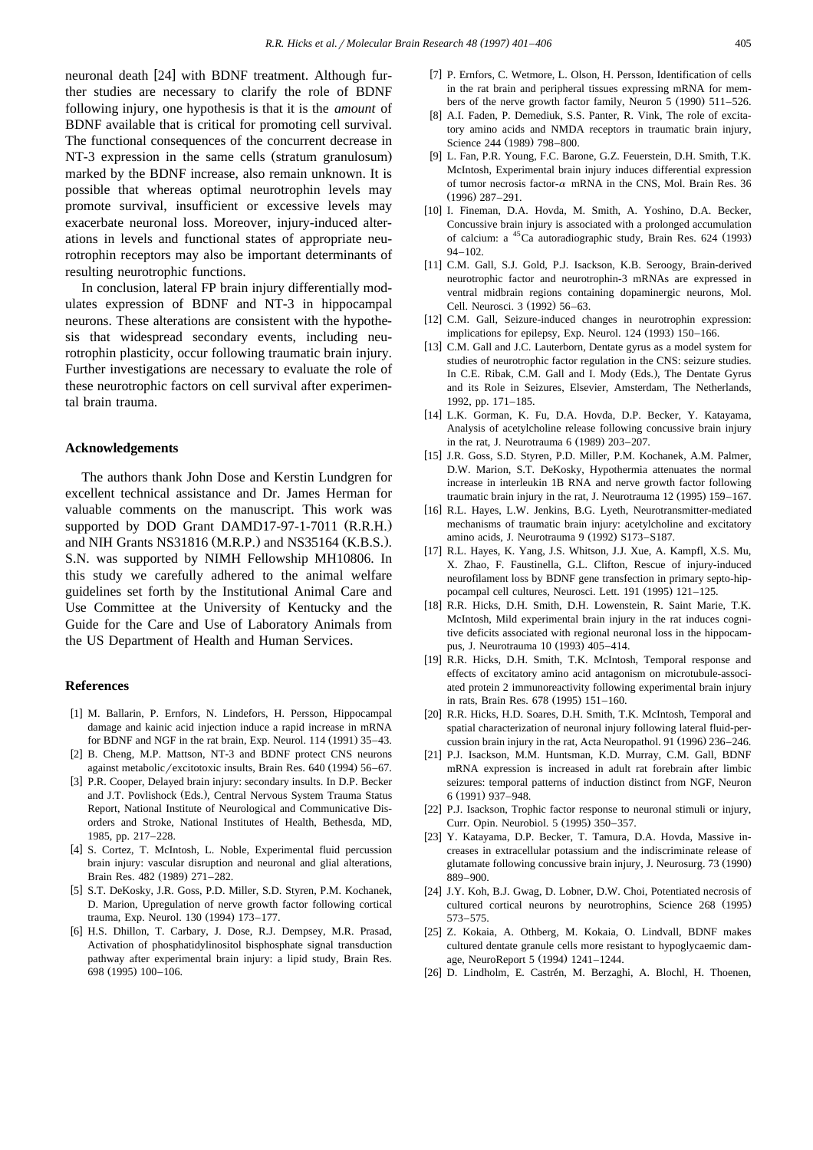neuronal death [24] with BDNF treatment. Although further studies are necessary to clarify the role of BDNF following injury, one hypothesis is that it is the *amount* of BDNF available that is critical for promoting cell survival. The functional consequences of the concurrent decrease in NT-3 expression in the same cells (stratum granulosum) marked by the BDNF increase, also remain unknown. It is possible that whereas optimal neurotrophin levels may promote survival, insufficient or excessive levels may exacerbate neuronal loss. Moreover, injury-induced alterations in levels and functional states of appropriate neurotrophin receptors may also be important determinants of resulting neurotrophic functions.

In conclusion, lateral FP brain injury differentially modulates expression of BDNF and NT-3 in hippocampal neurons. These alterations are consistent with the hypothesis that widespread secondary events, including neurotrophin plasticity, occur following traumatic brain injury. Further investigations are necessary to evaluate the role of these neurotrophic factors on cell survival after experimental brain trauma.

## **Acknowledgements**

The authors thank John Dose and Kerstin Lundgren for excellent technical assistance and Dr. James Herman for valuable comments on the manuscript. This work was supported by DOD Grant DAMD17-97-1-7011  $(R.R.H.)$ and NIH Grants NS31816 (M.R.P.) and NS35164 (K.B.S.). S.N. was supported by NIMH Fellowship MH10806. In this study we carefully adhered to the animal welfare guidelines set forth by the Institutional Animal Care and Use Committee at the University of Kentucky and the Guide for the Care and Use of Laboratory Animals from the US Department of Health and Human Services.

## **References**

- [1] M. Ballarin, P. Ernfors, N. Lindefors, H. Persson, Hippocampal damage and kainic acid injection induce a rapid increase in mRNA for BDNF and NGF in the rat brain, Exp. Neurol.  $114$  (1991) 35–43.
- [2] B. Cheng, M.P. Mattson, NT-3 and BDNF protect CNS neurons against metabolic/excitotoxic insults, Brain Res. 640 (1994) 56–67.
- [3] P.R. Cooper, Delayed brain injury: secondary insults. In D.P. Becker and J.T. Povlishock (Eds.), Central Nervous System Trauma Status Report, National Institute of Neurological and Communicative Disorders and Stroke, National Institutes of Health, Bethesda, MD, 1985, pp. 217–228.
- [4] S. Cortez, T. McIntosh, L. Noble, Experimental fluid percussion brain injury: vascular disruption and neuronal and glial alterations, Brain Res. 482 (1989) 271-282.
- [5] S.T. DeKosky, J.R. Goss, P.D. Miller, S.D. Styren, P.M. Kochanek, D. Marion, Upregulation of nerve growth factor following cortical trauma, Exp. Neurol. 130 (1994) 173-177.
- [6] H.S. Dhillon, T. Carbary, J. Dose, R.J. Dempsey, M.R. Prasad, Activation of phosphatidylinositol bisphosphate signal transduction pathway after experimental brain injury: a lipid study, Brain Res. 698 (1995) 100-106.
- [7] P. Ernfors, C. Wetmore, L. Olson, H. Persson, Identification of cells in the rat brain and peripheral tissues expressing mRNA for members of the nerve growth factor family, Neuron  $5(1990)$   $511-526$ .
- [8] A.I. Faden, P. Demediuk, S.S. Panter, R. Vink, The role of excitatory amino acids and NMDA receptors in traumatic brain injury, Science 244 (1989) 798-800.
- [9] L. Fan, P.R. Young, F.C. Barone, G.Z. Feuerstein, D.H. Smith, T.K. McIntosh, Experimental brain injury induces differential expression of tumor necrosis factor- $\alpha$  mRNA in the CNS, Mol. Brain Res. 36  $(1996) 287 - 291$
- [10] I. Fineman, D.A. Hovda, M. Smith, A. Yoshino, D.A. Becker, Concussive brain injury is associated with a prolonged accumulation of calcium: a  $^{45}$ Ca autoradiographic study, Brain Res. 624 (1993) 94–102.
- [11] C.M. Gall, S.J. Gold, P.J. Isackson, K.B. Seroogy, Brain-derived neurotrophic factor and neurotrophin-3 mRNAs are expressed in ventral midbrain regions containing dopaminergic neurons, Mol. Cell. Neurosci. 3 (1992) 56–63.
- [12] C.M. Gall, Seizure-induced changes in neurotrophin expression: implications for epilepsy, Exp. Neurol.  $124$  (1993)  $150-166$ .
- [13] C.M. Gall and J.C. Lauterborn, Dentate gyrus as a model system for studies of neurotrophic factor regulation in the CNS: seizure studies. In C.E. Ribak, C.M. Gall and I. Mody (Eds.), The Dentate Gyrus and its Role in Seizures, Elsevier, Amsterdam, The Netherlands, 1992, pp. 171–185.
- [14] L.K. Gorman, K. Fu, D.A. Hovda, D.P. Becker, Y. Katayama, Analysis of acetylcholine release following concussive brain injury in the rat, J. Neurotrauma  $6(1989)$   $203-207$ .
- [15] J.R. Goss, S.D. Styren, P.D. Miller, P.M. Kochanek, A.M. Palmer, D.W. Marion, S.T. DeKosky, Hypothermia attenuates the normal increase in interleukin 1B RNA and nerve growth factor following traumatic brain injury in the rat, J. Neurotrauma 12 (1995) 159-167.
- [16] R.L. Hayes, L.W. Jenkins, B.G. Lyeth, Neurotransmitter-mediated mechanisms of traumatic brain injury: acetylcholine and excitatory amino acids, J. Neurotrauma 9 (1992) S173-S187.
- [17] R.L. Hayes, K. Yang, J.S. Whitson, J.J. Xue, A. Kampfl, X.S. Mu, X. Zhao, F. Faustinella, G.L. Clifton, Rescue of injury-induced neurofilament loss by BDNF gene transfection in primary septo-hippocampal cell cultures, Neurosci. Lett. 191 (1995) 121-125.
- [18] R.R. Hicks, D.H. Smith, D.H. Lowenstein, R. Saint Marie, T.K. McIntosh, Mild experimental brain injury in the rat induces cognitive deficits associated with regional neuronal loss in the hippocampus, J. Neurotrauma 10 (1993) 405-414.
- [19] R.R. Hicks, D.H. Smith, T.K. McIntosh, Temporal response and effects of excitatory amino acid antagonism on microtubule-associated protein 2 immunoreactivity following experimental brain injury in rats, Brain Res. 678 (1995) 151-160.
- [20] R.R. Hicks, H.D. Soares, D.H. Smith, T.K. McIntosh, Temporal and spatial characterization of neuronal injury following lateral fluid-percussion brain injury in the rat, Acta Neuropathol. 91 (1996) 236–246.
- [21] P.J. Isackson, M.M. Huntsman, K.D. Murray, C.M. Gall, BDNF mRNA expression is increased in adult rat forebrain after limbic seizures: temporal patterns of induction distinct from NGF, Neuron 6 (1991) 937-948.
- [22] P.J. Isackson, Trophic factor response to neuronal stimuli or injury, Curr. Opin. Neurobiol. 5 (1995) 350-357.
- [23] Y. Katayama, D.P. Becker, T. Tamura, D.A. Hovda, Massive increases in extracellular potassium and the indiscriminate release of glutamate following concussive brain injury, J. Neurosurg. 73 (1990) 889–900.
- [24] J.Y. Koh, B.J. Gwag, D. Lobner, D.W. Choi, Potentiated necrosis of cultured cortical neurons by neurotrophins, Science 268 (1995) 573–575.
- [25] Z. Kokaia, A. Othberg, M. Kokaia, O. Lindvall, BDNF makes cultured dentate granule cells more resistant to hypoglycaemic damage, NeuroReport 5 (1994) 1241–1244.
- [26] D. Lindholm, E. Castrén, M. Berzaghi, A. Blochl, H. Thoenen,